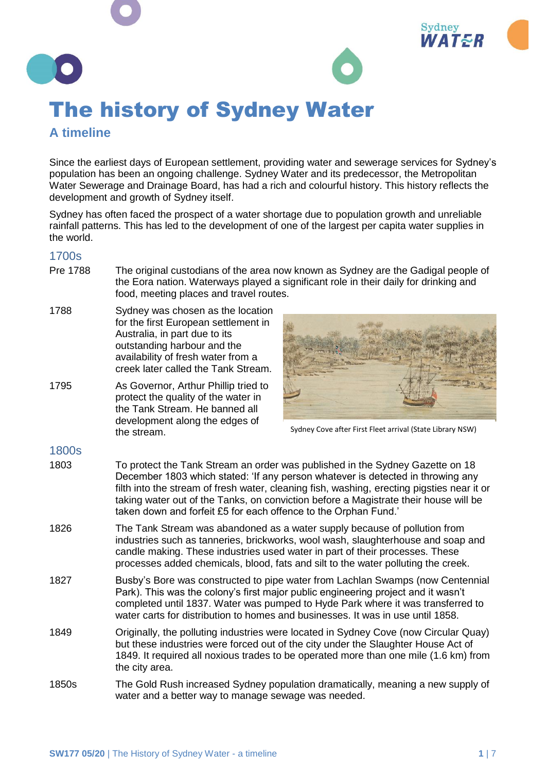

## **A timeline**

Since the earliest days of European settlement, providing water and sewerage services for Sydney's population has been an ongoing challenge. Sydney Water and its predecessor, the Metropolitan Water Sewerage and Drainage Board, has had a rich and colourful history. This history reflects the development and growth of Sydney itself.

Sydney has often faced the prospect of a water shortage due to population growth and unreliable rainfall patterns. This has led to the development of one of the largest per capita water supplies in the world.

## 1700s

- Pre 1788 The original custodians of the area now known as Sydney are the Gadigal people of the Eora nation. Waterways played a significant role in their daily for drinking and food, meeting places and travel routes.
- 1788 Sydney was chosen as the location for the first European settlement in Australia, in part due to its outstanding harbour and the availability of fresh water from a creek later called the Tank Stream.
- 1795 As Governor, Arthur Phillip tried to protect the quality of the water in the Tank Stream. He banned all development along the edges of the stream.



Sydney Cove after First Fleet arrival (State Library NSW)

## 1800s

- 1803 To protect the Tank Stream an order was published in the Sydney Gazette on 18 December 1803 which stated: 'If any person whatever is detected in throwing any filth into the stream of fresh water, cleaning fish, washing, erecting pigsties near it or taking water out of the Tanks, on conviction before a Magistrate their house will be taken down and forfeit £5 for each offence to the Orphan Fund.'
- 1826 The Tank Stream was abandoned as a water supply because of pollution from industries such as tanneries, brickworks, wool wash, slaughterhouse and soap and candle making. These industries used water in part of their processes. These processes added chemicals, blood, fats and silt to the water polluting the creek.
- 1827 Busby's Bore was constructed to pipe water from Lachlan Swamps (now Centennial Park). This was the colony's first major public engineering project and it wasn't completed until 1837. Water was pumped to Hyde Park where it was transferred to water carts for distribution to homes and businesses. It was in use until 1858.
- 1849 Originally, the polluting industries were located in Sydney Cove (now Circular Quay) but these industries were forced out of the city under the Slaughter House Act of 1849. It required all noxious trades to be operated more than one mile (1.6 km) from the city area.
- 1850s The Gold Rush increased Sydney population dramatically, meaning a new supply of water and a better way to manage sewage was needed.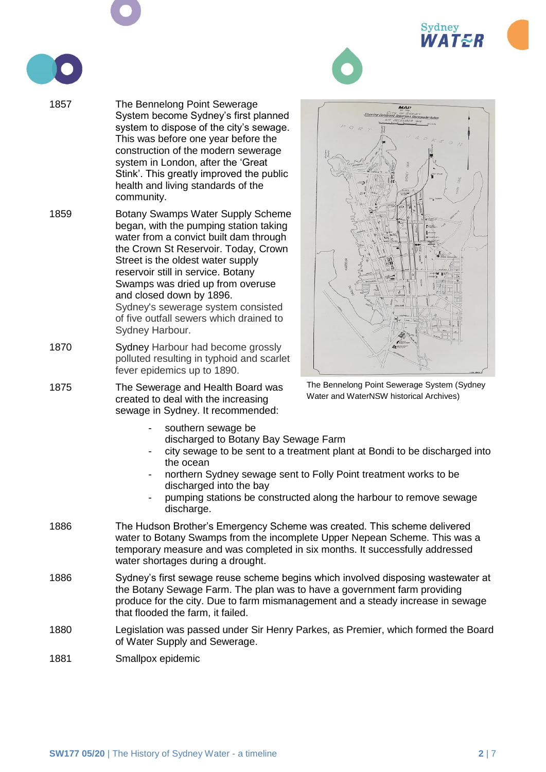





- 1857 The Bennelong Point Sewerage System become Sydney's first planned system to dispose of the city's sewage. This was before one year before the construction of the modern sewerage system in London, after the 'Great Stink'. This greatly improved the public health and living standards of the community.
- 1859 Botany Swamps Water Supply Scheme began, with the pumping station taking water from a convict built dam through the Crown St Reservoir. Today, Crown Street is the oldest water supply reservoir still in service. Botany Swamps was dried up from overuse and closed down by 1896. Sydney's sewerage system consisted of five outfall sewers which drained to Sydney Harbour.
- 1870 Sydney Harbour had become grossly polluted resulting in typhoid and scarlet fever epidemics up to 1890.
- 1875 The Sewerage and Health Board was created to deal with the increasing sewage in Sydney. It recommended:



The Bennelong Point Sewerage System (Sydney Water and WaterNSW historical Archives)

- southern sewage be discharged to Botany Bay Sewage Farm
- city sewage to be sent to a treatment plant at Bondi to be discharged into the ocean
- northern Sydney sewage sent to Folly Point treatment works to be discharged into the bay
- pumping stations be constructed along the harbour to remove sewage discharge.
- 1886 The Hudson Brother's Emergency Scheme was created. This scheme delivered water to Botany Swamps from the incomplete Upper Nepean Scheme. This was a temporary measure and was completed in six months. It successfully addressed water shortages during a drought.
- 1886 Sydney's first sewage reuse scheme begins which involved disposing wastewater at the Botany Sewage Farm. The plan was to have a government farm providing produce for the city. Due to farm mismanagement and a steady increase in sewage that flooded the farm, it failed.
- 1880 Legislation was passed under Sir Henry Parkes, as Premier, which formed the Board of Water Supply and Sewerage.
- 1881 Smallpox epidemic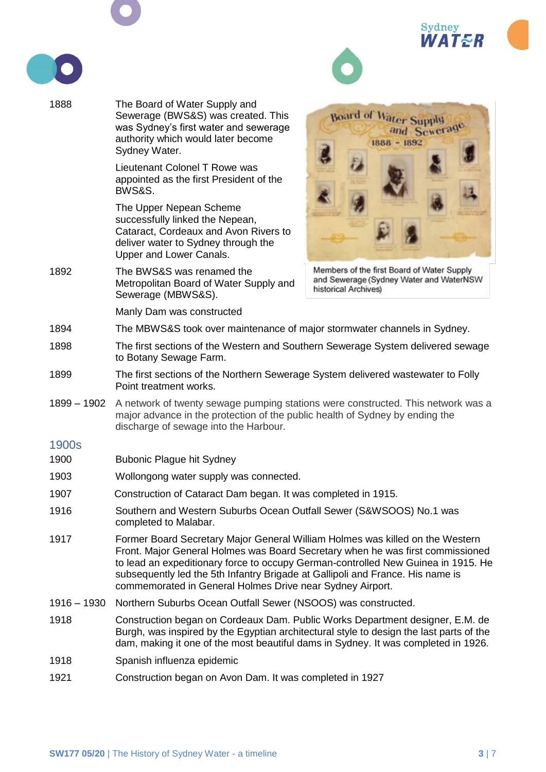**Sydney ATER** 

and Sewerage



1888 The Board of Water Supply and **Board of Water Supply** Sewerage (BWS&S) was created. This was Sydney's first water and sewerage authority which would later become 1888 - 1892 Sydney Water. Lieutenant Colonel T Rowe was appointed as the first President of the BWS&S. The Upper Nepean Scheme successfully linked the Nepean, Cataract, Cordeaux and Avon Rivers to deliver water to Sydney through the Upper and Lower Canals. 1892 The BWS&S was renamed the Members of the first Board of Water Supply and Sewerage (Sydney Water and WaterNSW Metropolitan Board of Water Supply and historical Archives) Sewerage (MBWS&S). Manly Dam was constructed 1894 The MBWS&S took over maintenance of major stormwater channels in Sydney. 1898 The first sections of the Western and Southern Sewerage System delivered sewage to Botany Sewage Farm. 1899 The first sections of the Northern Sewerage System delivered wastewater to Folly Point treatment works. 1899 – 1902 A network of twenty sewage pumping stations were constructed. This network was a major advance in the protection of the public health of Sydney by ending the discharge of sewage into the Harbour. 1900s 1900 Bubonic Plague hit Sydney 1903 Wollongong water supply was connected. 1907 Construction of Cataract Dam began. It was completed in 1915. 1916 Southern and Western Suburbs Ocean Outfall Sewer (S&WSOOS) No.1 was completed to Malabar. 1917 Former Board Secretary Major General William Holmes was killed on the Western Front. Major General Holmes was Board Secretary when he was first commissioned to lead an expeditionary force to occupy German-controlled New Guinea in 1915. He subsequently led the 5th Infantry Brigade at Gallipoli and France. His name is commemorated in General Holmes Drive near Sydney Airport. 1916 – 1930 Northern Suburbs Ocean Outfall Sewer (NSOOS) was constructed. 1918 Construction began on Cordeaux Dam. Public Works Department designer, E.M. de Burgh, was inspired by the Egyptian architectural style to design the last parts of the dam, making it one of the most beautiful dams in Sydney. It was completed in 1926. 1918 Spanish influenza epidemic 1921 Construction began on Avon Dam. It was completed in 1927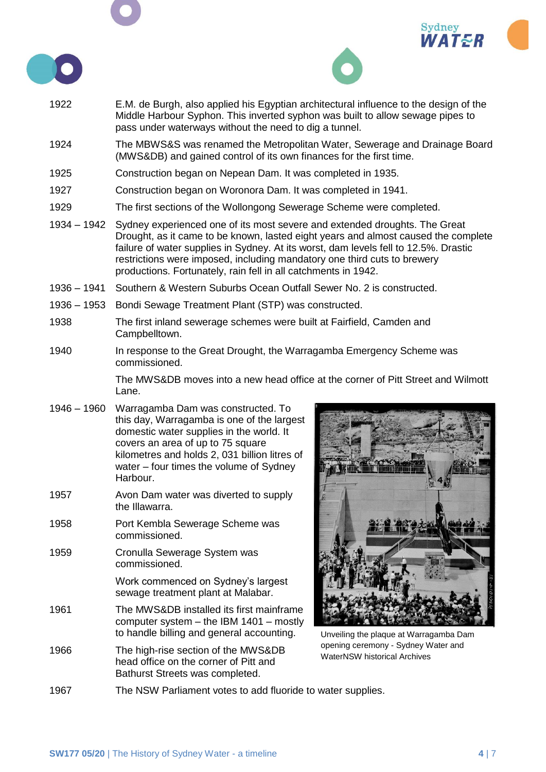





- 1922 E.M. de Burgh, also applied his Egyptian architectural influence to the design of the Middle Harbour Syphon. This inverted syphon was built to allow sewage pipes to pass under waterways without the need to dig a tunnel.
- 1924 The MBWS&S was renamed the Metropolitan Water, Sewerage and Drainage Board (MWS&DB) and gained control of its own finances for the first time.
- 1925 Construction began on Nepean Dam. It was completed in 1935.
- 1927 Construction began on Woronora Dam. It was completed in 1941.
- 1929 The first sections of the Wollongong Sewerage Scheme were completed.
- 1934 1942 Sydney experienced one of its most severe and extended droughts. The Great Drought, as it came to be known, lasted eight years and almost caused the complete failure of water supplies in Sydney. At its worst, dam levels fell to 12.5%. Drastic restrictions were imposed, including mandatory one third cuts to brewery productions. Fortunately, rain fell in all catchments in 1942.
- 1936 1941 Southern & Western Suburbs Ocean Outfall Sewer No. 2 is constructed.
- 1936 1953 Bondi Sewage Treatment Plant (STP) was constructed.
- 1938 The first inland sewerage schemes were built at Fairfield, Camden and Campbelltown.
- 1940 In response to the Great Drought, the Warragamba Emergency Scheme was commissioned.

The MWS&DB moves into a new head office at the corner of Pitt Street and Wilmott Lane.

- 1946 1960 Warragamba Dam was constructed. To this day, Warragamba is one of the largest domestic water supplies in the world. It covers an area of up to 75 square kilometres and holds 2, 031 billion litres of water – four times the volume of Sydney Harbour.
- 1957 Avon Dam water was diverted to supply the Illawarra.
- 1958 Port Kembla Sewerage Scheme was commissioned.
- 1959 Cronulla Sewerage System was commissioned.

Work commenced on Sydney's largest sewage treatment plant at Malabar.

- 1961 The MWS&DB installed its first mainframe computer system – the IBM 1401 – mostly to handle billing and general accounting.
- 1966 The high-rise section of the MWS&DB head office on the corner of Pitt and Bathurst Streets was completed.



Unveiling the plaque at Warragamba Dam opening ceremony - Sydney Water and WaterNSW historical Archives

1967 The NSW Parliament votes to add fluoride to water supplies.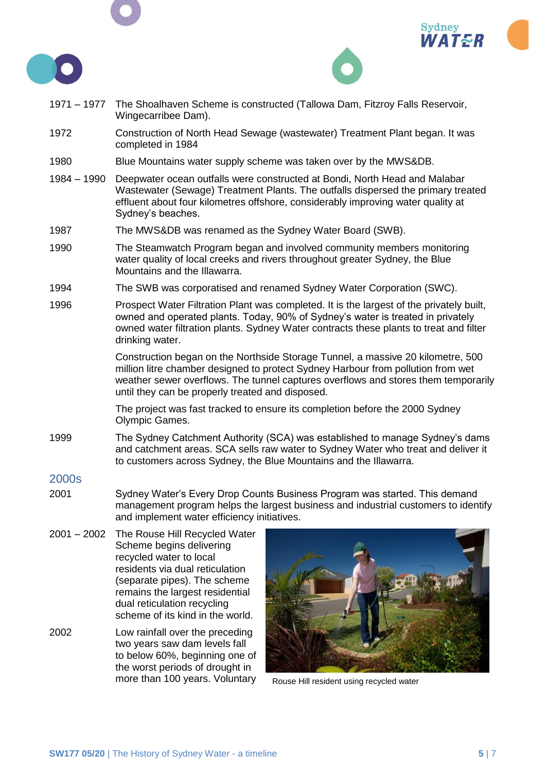





- 1971 1977 The Shoalhaven Scheme is constructed (Tallowa Dam, Fitzroy Falls Reservoir, Wingecarribee Dam).
- 1972 Construction of North Head Sewage (wastewater) Treatment Plant began. It was completed in 1984
- 1980 Blue Mountains water supply scheme was taken over by the MWS&DB.
- 1984 1990 Deepwater ocean outfalls were constructed at Bondi, North Head and Malabar Wastewater (Sewage) Treatment Plants. The outfalls dispersed the primary treated effluent about four kilometres offshore, considerably improving water quality at Sydney's beaches.
- 1987 The MWS&DB was renamed as the Sydney Water Board (SWB).
- 1990 The Steamwatch Program began and involved community members monitoring water quality of local creeks and rivers throughout greater Sydney, the Blue Mountains and the Illawarra.
- 1994 The SWB was corporatised and renamed Sydney Water Corporation (SWC).
- 1996 Prospect Water Filtration Plant was completed. It is the largest of the privately built, owned and operated plants. Today, 90% of Sydney's water is treated in privately owned water filtration plants. Sydney Water contracts these plants to treat and filter drinking water.

Construction began on the Northside Storage Tunnel, a massive 20 kilometre, 500 million litre chamber designed to protect Sydney Harbour from pollution from wet weather sewer overflows. The tunnel captures overflows and stores them temporarily until they can be properly treated and disposed.

The project was fast tracked to ensure its completion before the 2000 Sydney Olympic Games.

1999 The Sydney Catchment Authority (SCA) was established to manage Sydney's dams and catchment areas. SCA sells raw water to Sydney Water who treat and deliver it to customers across Sydney, the Blue Mountains and the Illawarra.

## 2000s

- 2001 Sydney Water's Every Drop Counts Business Program was started. This demand management program helps the largest business and industrial customers to identify and implement water efficiency initiatives.
- 2001 2002 The Rouse Hill Recycled Water Scheme begins delivering recycled water to local residents via dual reticulation (separate pipes). The scheme remains the largest residential dual reticulation recycling scheme of its kind in the world.
- 2002 Low rainfall over the preceding two years saw dam levels fall to below 60%, beginning one of the worst periods of drought in more than 100 years. Voluntary Rouse Hill resident using recycled water

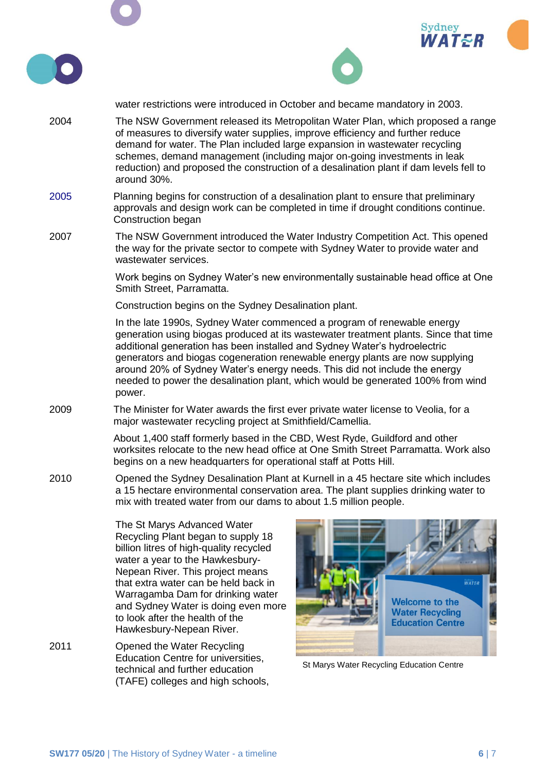

St Marys Water Recycling Education Centre

technical and further education (TAFE) colleges and high schools,